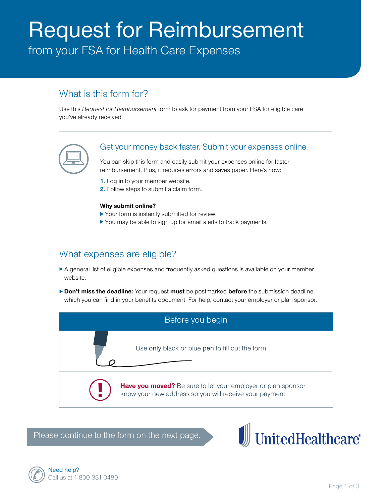# Request for Reimbursement

from your FSA for Health Care Expenses

# What is this form for?

Use this *Request for Reimbursement* form to ask for payment from your FSA for eligible care you've already received.



## Get your money back faster. Submit your expenses online.

You can skip this form and easily submit your expenses online for faster reimbursement. Plus, it reduces errors and saves paper. Here's how:

- **1.** Log in to your member website.
- **2.** Follow steps to submit a claim form.

#### **Why submit online?**

- $\blacktriangleright$  Your form is instantly submitted for review.
- $\blacktriangleright$  You may be able to sign up for email alerts to track payments.

# What expenses are eligible?

- A general list of eligible expenses and frequently asked questions is available on your member website.
- **Don't miss the deadline:** Your request must be postmarked **before** the submission deadline, which you can find in your benefits document. For help, contact your employer or plan sponsor.



Please continue to the form on the next page.



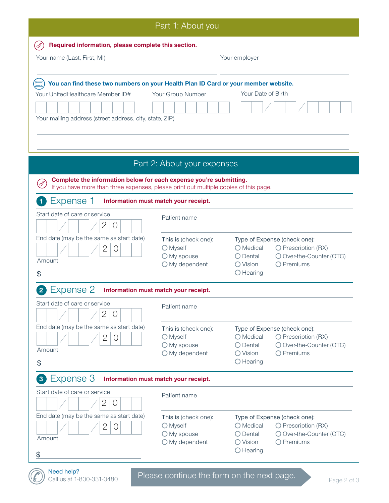| Part 1: About you                                                                                                                                                                 |                                                                     |                                                                                                                                                     |
|-----------------------------------------------------------------------------------------------------------------------------------------------------------------------------------|---------------------------------------------------------------------|-----------------------------------------------------------------------------------------------------------------------------------------------------|
| Required information, please complete this section.                                                                                                                               |                                                                     |                                                                                                                                                     |
| Your name (Last, First, MI)                                                                                                                                                       |                                                                     | Your employer                                                                                                                                       |
| You can find these two numbers on your Health Plan ID Card or your member website.<br>Your UnitedHealthcare Member ID#<br>Your mailing address (street address, city, state, ZIP) | Your Group Number                                                   | Your Date of Birth                                                                                                                                  |
| Part 2: About your expenses                                                                                                                                                       |                                                                     |                                                                                                                                                     |
| Complete the information below for each expense you're submitting.<br>If you have more than three expenses, please print out multiple copies of this page.                        |                                                                     |                                                                                                                                                     |
| Expense 1<br>Information must match your receipt.                                                                                                                                 |                                                                     |                                                                                                                                                     |
| Start date of care or service<br>2<br>U                                                                                                                                           | Patient name                                                        |                                                                                                                                                     |
| End date (may be the same as start date)<br>2<br>$\left( \right)$<br>Amount<br>\$                                                                                                 | This is (check one):<br>O Myself<br>O My spouse<br>$O$ My dependent | Type of Expense (check one):<br>O Medical<br>O Prescription (RX)<br>O Dental<br>O Over-the-Counter (OTC)<br>O Vision<br>O Premiums<br>$O$ Hearing   |
| Expense 2<br>Information must match your receipt.                                                                                                                                 |                                                                     |                                                                                                                                                     |
| Start date of care or service<br>$\mathbf{2}$<br>$\bigcirc$                                                                                                                       | Patient name                                                        |                                                                                                                                                     |
| End date (may be the same as start date)<br>2<br>$\bigcirc$<br>Amount<br>\$                                                                                                       | This is (check one):<br>O Myself<br>O My spouse<br>O My dependent   | Type of Expense (check one):<br>O Medical<br>O Prescription (RX)<br>$O$ Dental<br>O Over-the-Counter (OTC)<br>O Premiums<br>O Vision<br>$O$ Hearing |
| Expense 3<br>$\mathbf{3}$<br>Information must match your receipt.                                                                                                                 |                                                                     |                                                                                                                                                     |
| Start date of care or service<br>2<br>O                                                                                                                                           | Patient name                                                        |                                                                                                                                                     |
| End date (may be the same as start date)<br>2<br>$\bigcirc$<br>Amount<br>\$                                                                                                       | This is (check one):<br>O Myself<br>O My spouse<br>O My dependent   | Type of Expense (check one):<br>O Medical<br>O Prescription (RX)<br>O Over-the-Counter (OTC)<br>O Dental<br>O Premiums<br>O Vision<br>$O$ Hearing   |
| Need help?<br>Please continue the form on the next page.<br>Call us at 1-800-331-0480<br>Page 2 of 3                                                                              |                                                                     |                                                                                                                                                     |